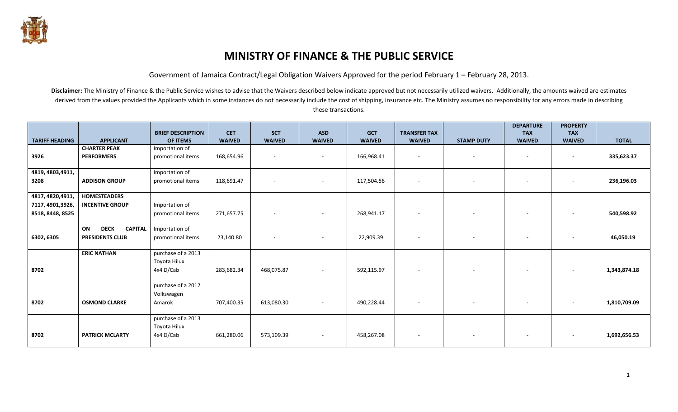

## **MINISTRY OF FINANCE & THE PUBLIC SERVICE**

Government of Jamaica Contract/Legal Obligation Waivers Approved for the period February 1 – February 28, 2013.

Disclaimer: The Ministry of Finance & the Public Service wishes to advise that the Waivers described below indicate approved but not necessarily utilized waivers. Additionally, the amounts waived are estimates derived from the values provided the Applicants which in some instances do not necessarily include the cost of shipping, insurance etc. The Ministry assumes no responsibility for any errors made in describing these transactions.

|                       |                                     | <b>BRIEF DESCRIPTION</b> | <b>CET</b>    | <b>SCT</b>    | <b>ASD</b>               | <b>GCT</b>    | <b>TRANSFER TAX</b> |                          | <b>DEPARTURE</b><br><b>TAX</b> | <b>PROPERTY</b><br><b>TAX</b> |              |
|-----------------------|-------------------------------------|--------------------------|---------------|---------------|--------------------------|---------------|---------------------|--------------------------|--------------------------------|-------------------------------|--------------|
| <b>TARIFF HEADING</b> | <b>APPLICANT</b>                    | <b>OF ITEMS</b>          | <b>WAIVED</b> | <b>WAIVED</b> | <b>WAIVED</b>            | <b>WAIVED</b> | <b>WAIVED</b>       | <b>STAMP DUTY</b>        | <b>WAIVED</b>                  | <b>WAIVED</b>                 | <b>TOTAL</b> |
|                       | <b>CHARTER PEAK</b>                 | Importation of           |               |               |                          |               |                     |                          |                                |                               |              |
| 3926                  | <b>PERFORMERS</b>                   | promotional items        | 168,654.96    | $\sim$        | $\sim$                   | 166,968.41    | $\sim$              | $\sim$                   |                                | н.                            | 335,623.37   |
| 4819, 4803, 4911,     |                                     | Importation of           |               |               |                          |               |                     |                          |                                |                               |              |
| 3208                  | <b>ADDISON GROUP</b>                | promotional items        | 118,691.47    | $\sim$        | $\sim$                   | 117,504.56    | $\sim$              | $\sim$                   |                                | $\sim$                        | 236,196.03   |
| 4817, 4820, 4911,     | <b>HOMESTEADERS</b>                 |                          |               |               |                          |               |                     |                          |                                |                               |              |
| 7117, 4901,3926,      | <b>INCENTIVE GROUP</b>              | Importation of           |               |               |                          |               |                     |                          |                                |                               |              |
| 8518, 8448, 8525      |                                     | promotional items        | 271,657.75    | $\sim$        | $\sim$                   | 268,941.17    | $\sim$              | $\overline{\phantom{a}}$ |                                | $\sim$                        | 540,598.92   |
|                       | <b>DECK</b><br><b>CAPITAL</b><br>ON | Importation of           |               |               |                          |               |                     |                          |                                |                               |              |
| 6302, 6305            | <b>PRESIDENTS CLUB</b>              | promotional items        | 23,140.80     | $\sim$        | $\overline{\phantom{a}}$ | 22,909.39     | $\sim$              | $\sim$                   |                                |                               | 46,050.19    |
|                       | <b>ERIC NATHAN</b>                  | purchase of a 2013       |               |               |                          |               |                     |                          |                                |                               |              |
|                       |                                     | Toyota Hilux             |               |               |                          |               |                     |                          |                                |                               |              |
| 8702                  |                                     | 4x4 D/Cab                | 283,682.34    | 468,075.87    | $\sim$                   | 592,115.97    | $\sim$              | $\sim$                   |                                | $\sim$                        | 1,343,874.18 |
|                       |                                     | purchase of a 2012       |               |               |                          |               |                     |                          |                                |                               |              |
|                       |                                     | Volkswagen               |               |               |                          |               |                     |                          |                                |                               |              |
| 8702                  | <b>OSMOND CLARKE</b>                | Amarok                   | 707,400.35    | 613,080.30    | $\sim$                   | 490,228.44    | $\sim$              | $\sim$                   |                                | $\sim$                        | 1,810,709.09 |
|                       |                                     | purchase of a 2013       |               |               |                          |               |                     |                          |                                |                               |              |
|                       |                                     | Toyota Hilux             |               |               |                          |               |                     |                          |                                |                               |              |
| 8702                  | <b>PATRICK MCLARTY</b>              | 4x4 D/Cab                | 661,280.06    | 573,109.39    |                          | 458,267.08    |                     |                          |                                |                               | 1,692,656.53 |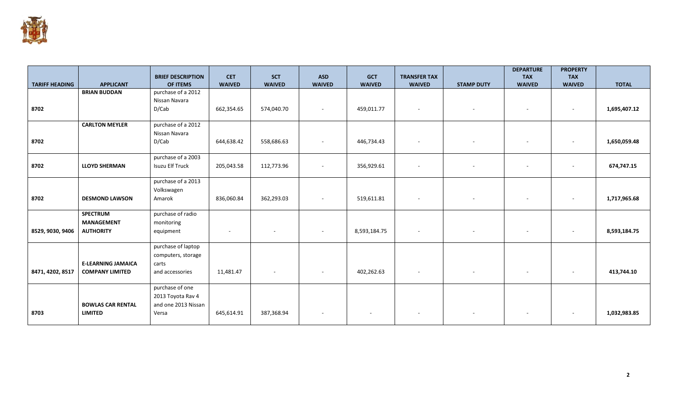

|                       |                           | <b>BRIEF DESCRIPTION</b> | <b>CET</b>    | <b>SCT</b>               | <b>ASD</b>               | <b>GCT</b>               | <b>TRANSFER TAX</b>      |                          | <b>DEPARTURE</b><br><b>TAX</b> | <b>PROPERTY</b><br><b>TAX</b> |              |
|-----------------------|---------------------------|--------------------------|---------------|--------------------------|--------------------------|--------------------------|--------------------------|--------------------------|--------------------------------|-------------------------------|--------------|
| <b>TARIFF HEADING</b> | <b>APPLICANT</b>          | OF ITEMS                 | <b>WAIVED</b> | <b>WAIVED</b>            | <b>WAIVED</b>            | <b>WAIVED</b>            | <b>WAIVED</b>            | <b>STAMP DUTY</b>        | <b>WAIVED</b>                  | <b>WAIVED</b>                 | <b>TOTAL</b> |
|                       | <b>BRIAN BUDDAN</b>       | purchase of a 2012       |               |                          |                          |                          |                          |                          |                                |                               |              |
|                       |                           | Nissan Navara            |               |                          |                          |                          |                          |                          |                                |                               |              |
| 8702                  |                           | D/Cab                    | 662,354.65    | 574,040.70               | $\overline{\phantom{a}}$ | 459,011.77               | $\sim$                   | $\overline{\phantom{a}}$ |                                | $\sim$                        | 1,695,407.12 |
|                       | <b>CARLTON MEYLER</b>     | purchase of a 2012       |               |                          |                          |                          |                          |                          |                                |                               |              |
|                       |                           | Nissan Navara            |               |                          |                          |                          |                          |                          |                                |                               |              |
| 8702                  |                           | D/Cab                    | 644,638.42    | 558,686.63               | $\overline{\phantom{a}}$ | 446,734.43               | $\sim$                   | $\overline{\phantom{a}}$ |                                |                               | 1,650,059.48 |
|                       |                           | purchase of a 2003       |               |                          |                          |                          |                          |                          |                                |                               |              |
| 8702                  | <b>LLOYD SHERMAN</b>      | Isuzu Elf Truck          | 205,043.58    | 112,773.96               | $\overline{\phantom{a}}$ | 356,929.61               |                          |                          |                                | $\sim$                        | 674,747.15   |
|                       |                           | purchase of a 2013       |               |                          |                          |                          |                          |                          |                                |                               |              |
|                       |                           | Volkswagen               |               |                          |                          |                          |                          |                          |                                |                               |              |
| 8702                  | <b>DESMOND LAWSON</b>     | Amarok                   | 836,060.84    | 362,293.03               | $\overline{\phantom{a}}$ | 519,611.81               | $\overline{\phantom{a}}$ | $\sim$                   |                                | $\sim$                        | 1,717,965.68 |
|                       | <b>SPECTRUM</b>           | purchase of radio        |               |                          |                          |                          |                          |                          |                                |                               |              |
|                       | <b>MANAGEMENT</b>         | monitoring               |               |                          |                          |                          |                          |                          |                                |                               |              |
| 8529, 9030, 9406      | <b>AUTHORITY</b>          | equipment                | $\sim$        | $\overline{\phantom{a}}$ | $\sim$                   | 8,593,184.75             | $\overline{\phantom{a}}$ | $\sim$                   |                                | $\sim$                        | 8,593,184.75 |
|                       |                           | purchase of laptop       |               |                          |                          |                          |                          |                          |                                |                               |              |
|                       |                           | computers, storage       |               |                          |                          |                          |                          |                          |                                |                               |              |
|                       | <b>E-LEARNING JAMAICA</b> | carts                    |               |                          |                          |                          |                          |                          |                                |                               |              |
| 8471, 4202, 8517      | <b>COMPANY LIMITED</b>    | and accessories          | 11,481.47     | $\overline{\phantom{a}}$ | $\overline{\phantom{a}}$ | 402,262.63               | $\sim$                   | $\sim$                   |                                | $\overline{\phantom{a}}$      | 413,744.10   |
|                       |                           | purchase of one          |               |                          |                          |                          |                          |                          |                                |                               |              |
|                       |                           | 2013 Toyota Rav 4        |               |                          |                          |                          |                          |                          |                                |                               |              |
|                       | <b>BOWLAS CAR RENTAL</b>  | and one 2013 Nissan      |               |                          |                          |                          |                          |                          |                                |                               |              |
| 8703                  | <b>LIMITED</b>            | Versa                    | 645,614.91    | 387,368.94               | $\overline{\phantom{a}}$ | $\overline{\phantom{a}}$ |                          | $\overline{\phantom{a}}$ |                                |                               | 1,032,983.85 |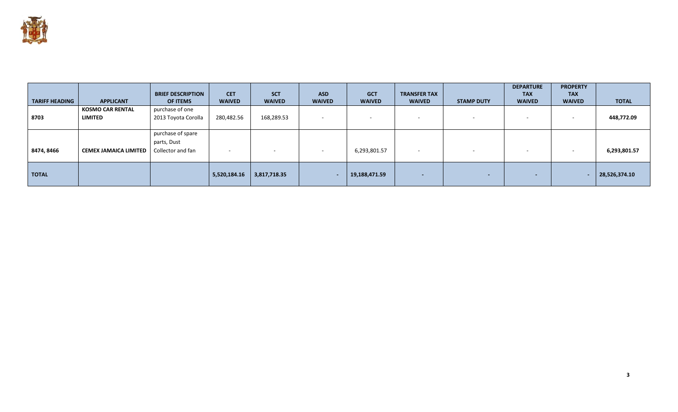

| <b>TARIFF HEADING</b> | <b>APPLICANT</b>                          | <b>BRIEF DESCRIPTION</b><br><b>OF ITEMS</b> | <b>CET</b><br><b>WAIVED</b> | <b>SCT</b><br><b>WAIVED</b> | <b>ASD</b><br><b>WAIVED</b> | <b>GCT</b><br><b>WAIVED</b> | <b>TRANSFER TAX</b><br><b>WAIVED</b> | <b>STAMP DUTY</b> | <b>DEPARTURE</b><br><b>TAX</b><br><b>WAIVED</b> | <b>PROPERTY</b><br><b>TAX</b><br><b>WAIVED</b> | <b>TOTAL</b>  |
|-----------------------|-------------------------------------------|---------------------------------------------|-----------------------------|-----------------------------|-----------------------------|-----------------------------|--------------------------------------|-------------------|-------------------------------------------------|------------------------------------------------|---------------|
| 8703                  | <b>KOSMO CAR RENTAL</b><br><b>LIMITED</b> | purchase of one<br>2013 Toyota Corolla      | 280,482.56                  | 168,289.53                  | $\overline{\phantom{a}}$    | $\sim$                      |                                      | <b>CONTRACTOR</b> |                                                 | $\overline{\phantom{a}}$                       | 448,772.09    |
|                       |                                           | purchase of spare                           |                             |                             |                             |                             |                                      |                   |                                                 |                                                |               |
| 8474, 8466            | <b>CEMEX JAMAICA LIMITED</b>              | parts, Dust<br>Collector and fan            | -                           | $\overline{\phantom{a}}$    | $\overline{\phantom{a}}$    | 6,293,801.57                | $\overline{\phantom{0}}$             | $\sim$            |                                                 |                                                | 6,293,801.57  |
| <b>TOTAL</b>          |                                           |                                             | 5,520,184.16                | 3,817,718.35                |                             | 19,188,471.59               | $\sim$                               | $\sim$            | $\overline{\phantom{a}}$                        |                                                | 28,526,374.10 |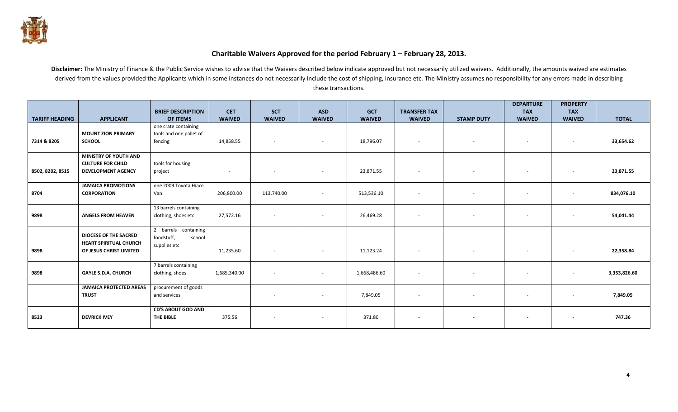

## **Charitable Waivers Approved for the period February 1 – February 28, 2013.**

Disclaimer: The Ministry of Finance & the Public Service wishes to advise that the Waivers described below indicate approved but not necessarily utilized waivers. Additionally, the amounts waived are estimates derived from the values provided the Applicants which in some instances do not necessarily include the cost of shipping, insurance etc. The Ministry assumes no responsibility for any errors made in describing these transactions.

|                       |                                                                                          | <b>BRIEF DESCRIPTION</b>                                     | <b>CET</b>               | <b>SCT</b>               | <b>ASD</b>               | <b>GCT</b>    | <b>TRANSFER TAX</b>      |                          | <b>DEPARTURE</b><br><b>TAX</b> | <b>PROPERTY</b><br><b>TAX</b> |              |
|-----------------------|------------------------------------------------------------------------------------------|--------------------------------------------------------------|--------------------------|--------------------------|--------------------------|---------------|--------------------------|--------------------------|--------------------------------|-------------------------------|--------------|
| <b>TARIFF HEADING</b> | <b>APPLICANT</b>                                                                         | OF ITEMS                                                     | <b>WAIVED</b>            | <b>WAIVED</b>            | <b>WAIVED</b>            | <b>WAIVED</b> | <b>WAIVED</b>            | <b>STAMP DUTY</b>        | <b>WAIVED</b>                  | <b>WAIVED</b>                 | <b>TOTAL</b> |
| 7314 & 8205           | <b>MOUNT ZION PRIMARY</b><br><b>SCHOOL</b>                                               | one crate containing<br>tools and one pallet of<br>fencing   | 14,858.55                | $\overline{\phantom{a}}$ | $\sim$                   | 18,796.07     | $\overline{\phantom{a}}$ | $\overline{\phantom{a}}$ |                                | $\sim$                        | 33,654.62    |
| 8502, 8202, 8515      | <b>MINISTRY OF YOUTH AND</b><br><b>CULTURE FOR CHILD</b><br><b>DEVELOPMENT AGENCY</b>    | tools for housing<br>project                                 | $\overline{\phantom{a}}$ |                          | $\overline{\phantom{a}}$ | 23,871.55     | $\overline{\phantom{a}}$ |                          |                                | $\overline{\phantom{a}}$      | 23,871.55    |
| 8704                  | <b>JAMAICA PROMOTIONS</b><br><b>CORPORATION</b>                                          | one 2009 Toyota Hiace<br>Van                                 | 206,800.00               | 113,740.00               | $\sim$                   | 513,536.10    | $\overline{\phantom{a}}$ | $\overline{\phantom{a}}$ | ٠                              | $\overline{\phantom{a}}$      | 834,076.10   |
| 9898                  | <b>ANGELS FROM HEAVEN</b>                                                                | 13 barrels containing<br>clothing, shoes etc                 | 27,572.16                |                          | $\sim$                   | 26,469.28     | $\overline{\phantom{a}}$ | $\overline{\phantom{a}}$ |                                | $\sim$                        | 54,041.44    |
| 9898                  | <b>DIOCESE OF THE SACRED</b><br><b>HEART SPIRITUAL CHURCH</b><br>OF JESUS CHRIST LIMITED | 2 barrels containing<br>foodstuff,<br>school<br>supplies etc | 11,235.60                |                          | $\sim$                   | 11,123.24     | $\sim$                   |                          |                                | $\overline{\phantom{a}}$      | 22,358.84    |
| 9898                  | <b>GAYLE S.D.A. CHURCH</b>                                                               | 7 barrels containing<br>clothing, shoes                      | 1,685,340.00             | $\overline{\phantom{a}}$ | $\overline{\phantom{a}}$ | 1,668,486.60  | $\overline{\phantom{a}}$ | $\overline{\phantom{a}}$ | ٠                              | $\overline{\phantom{a}}$      | 3,353,826.60 |
|                       | <b>JAMAICA PROTECTED AREAS</b><br><b>TRUST</b>                                           | procurement of goods<br>and services                         |                          | $\overline{\phantom{a}}$ | $\sim$                   | 7,849.05      | $\overline{\phantom{a}}$ | $\overline{\phantom{a}}$ |                                | $\sim$                        | 7,849.05     |
| 8523                  | <b>DEVRICK IVEY</b>                                                                      | <b>CD'S ABOUT GOD AND</b><br>THE BIBLE                       | 375.56                   | $\overline{\phantom{a}}$ | $\overline{\phantom{a}}$ | 371.80        | $\blacksquare$           | $\overline{\phantom{a}}$ |                                | $\blacksquare$                | 747.36       |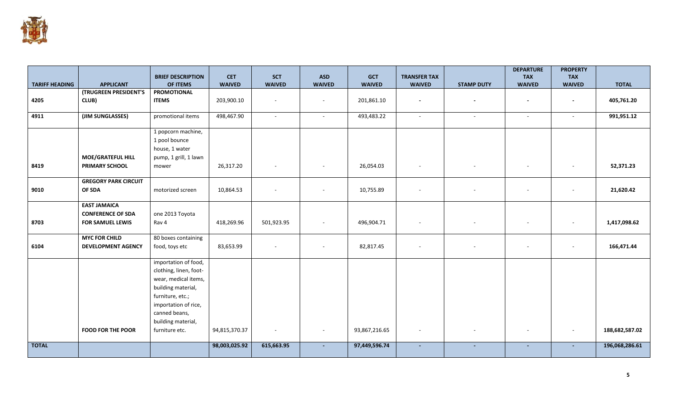

|                       |                                       | <b>BRIEF DESCRIPTION</b>                                                                                                                                                        | <b>CET</b>    | <b>SCT</b>    | <b>ASD</b>               | <b>GCT</b>    | <b>TRANSFER TAX</b> |                   | <b>DEPARTURE</b><br><b>TAX</b> | <b>PROPERTY</b><br><b>TAX</b> |                |
|-----------------------|---------------------------------------|---------------------------------------------------------------------------------------------------------------------------------------------------------------------------------|---------------|---------------|--------------------------|---------------|---------------------|-------------------|--------------------------------|-------------------------------|----------------|
| <b>TARIFF HEADING</b> | <b>APPLICANT</b>                      | OF ITEMS                                                                                                                                                                        | <b>WAIVED</b> | <b>WAIVED</b> | <b>WAIVED</b>            | <b>WAIVED</b> | <b>WAIVED</b>       | <b>STAMP DUTY</b> | <b>WAIVED</b>                  | <b>WAIVED</b>                 | <b>TOTAL</b>   |
|                       | (TRUGREEN PRESIDENT'S                 | <b>PROMOTIONAL</b>                                                                                                                                                              |               |               |                          |               |                     |                   |                                |                               |                |
| 4205                  | CLUB)                                 | <b>ITEMS</b>                                                                                                                                                                    | 203,900.10    |               | $\overline{\phantom{a}}$ | 201,861.10    |                     |                   |                                |                               | 405,761.20     |
| 4911                  | (JIM SUNGLASSES)                      | promotional items                                                                                                                                                               | 498,467.90    | $\sim$        | $\sim$                   | 493,483.22    | ÷.                  | $\sim$            |                                | $\sim$                        | 991,951.12     |
|                       | <b>MOE/GRATEFUL HILL</b>              | 1 popcorn machine,<br>1 pool bounce<br>house, 1 water<br>pump, 1 grill, 1 lawn                                                                                                  |               |               |                          |               |                     |                   |                                |                               |                |
| 8419                  | <b>PRIMARY SCHOOL</b>                 | mower                                                                                                                                                                           | 26,317.20     |               | $\overline{\phantom{a}}$ | 26,054.03     |                     |                   |                                | $\overline{\phantom{a}}$      | 52,371.23      |
| 9010                  | <b>GREGORY PARK CIRCUIT</b><br>OF SDA | motorized screen                                                                                                                                                                | 10,864.53     |               | $\sim$                   | 10,755.89     | $\sim$              | $\sim$            |                                | $\sim$                        | 21,620.42      |
|                       | <b>EAST JAMAICA</b>                   |                                                                                                                                                                                 |               |               |                          |               |                     |                   |                                |                               |                |
|                       | <b>CONFERENCE OF SDA</b>              | one 2013 Toyota                                                                                                                                                                 |               |               |                          |               |                     |                   |                                |                               |                |
| 8703                  | <b>FOR SAMUEL LEWIS</b>               | Rav 4                                                                                                                                                                           | 418,269.96    | 501,923.95    | $\sim$                   | 496,904.71    |                     |                   |                                | $\overline{\phantom{a}}$      | 1,417,098.62   |
|                       | <b>MYC FOR CHILD</b>                  | 80 boxes containing                                                                                                                                                             |               |               |                          |               |                     |                   |                                |                               |                |
| 6104                  | <b>DEVELOPMENT AGENCY</b>             | food, toys etc                                                                                                                                                                  | 83,653.99     |               | $\overline{\phantom{a}}$ | 82,817.45     |                     |                   |                                | $\overline{\phantom{a}}$      | 166,471.44     |
|                       |                                       | importation of food,<br>clothing, linen, foot-<br>wear, medical items,<br>building material,<br>furniture, etc.;<br>importation of rice,<br>canned beans,<br>building material, |               |               |                          |               |                     |                   |                                |                               |                |
|                       | <b>FOOD FOR THE POOR</b>              | furniture etc.                                                                                                                                                                  | 94,815,370.37 | $\sim$        | $\overline{\phantom{a}}$ | 93,867,216.65 |                     |                   |                                | $\sim$                        | 188,682,587.02 |
| <b>TOTAL</b>          |                                       |                                                                                                                                                                                 | 98,003,025.92 | 615,663.95    |                          | 97,449,596.74 |                     | $\sim$            |                                | $\sim$                        | 196,068,286.61 |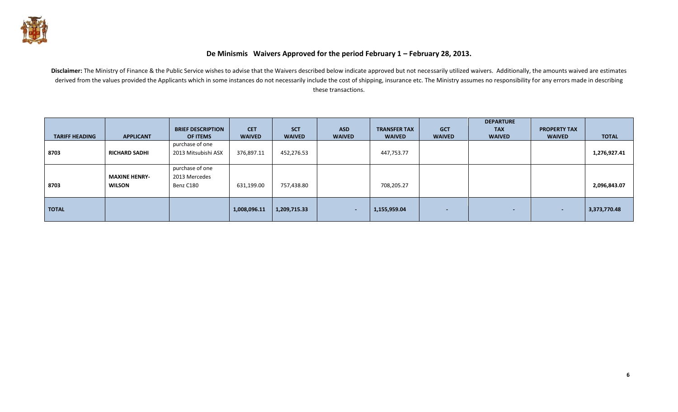

## **De Minismis Waivers Approved for the period February 1 – February 28, 2013.**

Disclaimer: The Ministry of Finance & the Public Service wishes to advise that the Waivers described below indicate approved but not necessarily utilized waivers. Additionally, the amounts waived are estimates derived from the values provided the Applicants which in some instances do not necessarily include the cost of shipping, insurance etc. The Ministry assumes no responsibility for any errors made in describing these transactions.

|                       |                      |                          |               |               |               |                     |                          | <b>DEPARTURE</b>         |                          |              |
|-----------------------|----------------------|--------------------------|---------------|---------------|---------------|---------------------|--------------------------|--------------------------|--------------------------|--------------|
|                       |                      | <b>BRIEF DESCRIPTION</b> | <b>CET</b>    | <b>SCT</b>    | <b>ASD</b>    | <b>TRANSFER TAX</b> | <b>GCT</b>               | <b>TAX</b>               | <b>PROPERTY TAX</b>      |              |
| <b>TARIFF HEADING</b> | <b>APPLICANT</b>     | <b>OF ITEMS</b>          | <b>WAIVED</b> | <b>WAIVED</b> | <b>WAIVED</b> | <b>WAIVED</b>       | <b>WAIVED</b>            | <b>WAIVED</b>            | <b>WAIVED</b>            | <b>TOTAL</b> |
|                       |                      | purchase of one          |               |               |               |                     |                          |                          |                          |              |
| 8703                  | <b>RICHARD SADHI</b> | 2013 Mitsubishi ASX      | 376,897.11    | 452,276.53    |               | 447,753.77          |                          |                          |                          | 1,276,927.41 |
|                       |                      |                          |               |               |               |                     |                          |                          |                          |              |
|                       |                      | purchase of one          |               |               |               |                     |                          |                          |                          |              |
|                       | <b>MAXINE HENRY-</b> | 2013 Mercedes            |               |               |               |                     |                          |                          |                          |              |
| 8703                  | <b>WILSON</b>        | Benz C180                | 631,199.00    | 757,438.80    |               | 708,205.27          |                          |                          |                          | 2,096,843.07 |
|                       |                      |                          |               |               |               |                     |                          |                          |                          |              |
|                       |                      |                          |               |               |               |                     |                          |                          |                          |              |
| <b>TOTAL</b>          |                      |                          | 1,008,096.11  | 1,209,715.33  | $\sim$        | 1,155,959.04        | $\overline{\phantom{a}}$ | $\overline{\phantom{0}}$ | $\overline{\phantom{a}}$ | 3,373,770.48 |
|                       |                      |                          |               |               |               |                     |                          |                          |                          |              |